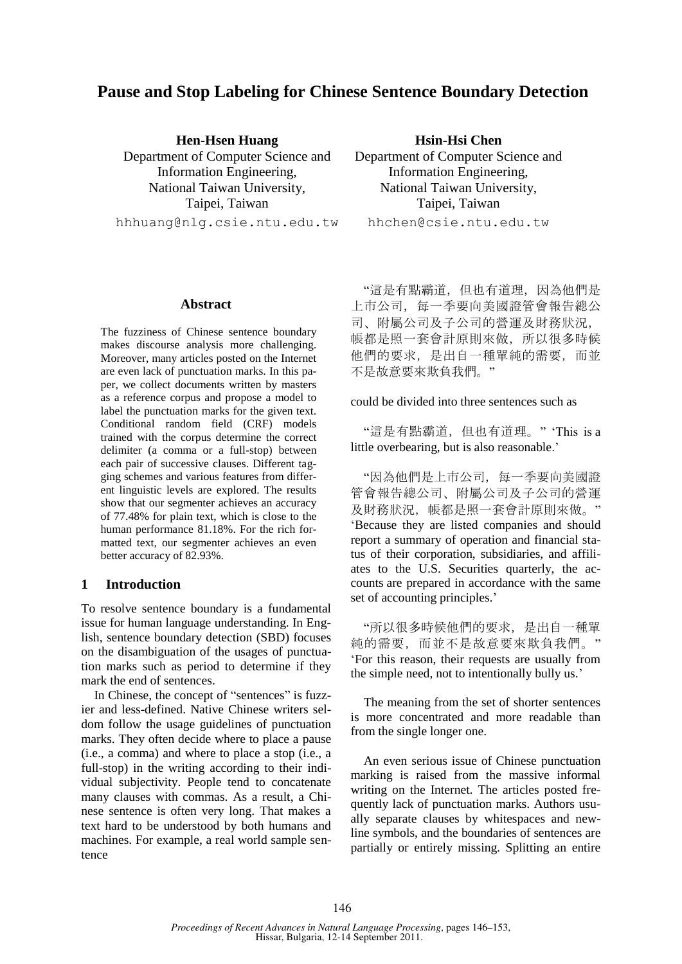# **Pause and Stop Labeling for Chinese Sentence Boundary Detection**

**Hen-Hsen Huang** Department of Computer Science and Information Engineering, National Taiwan University, Taipei, Taiwan hhhuang@nlg.csie.ntu.edu.tw

#### **Abstract**

The fuzziness of Chinese sentence boundary makes discourse analysis more challenging. Moreover, many articles posted on the Internet are even lack of punctuation marks. In this paper, we collect documents written by masters as a reference corpus and propose a model to label the punctuation marks for the given text. Conditional random field (CRF) models trained with the corpus determine the correct delimiter (a comma or a full-stop) between each pair of successive clauses. Different tagging schemes and various features from different linguistic levels are explored. The results show that our segmenter achieves an accuracy of 77.48% for plain text, which is close to the human performance 81.18%. For the rich formatted text, our segmenter achieves an even better accuracy of 82.93%.

### **1 Introduction**

To resolve sentence boundary is a fundamental issue for human language understanding. In English, sentence boundary detection (SBD) focuses on the disambiguation of the usages of punctuation marks such as period to determine if they mark the end of sentences.

In Chinese, the concept of "sentences" is fuzzier and less-defined. Native Chinese writers seldom follow the usage guidelines of punctuation marks. They often decide where to place a pause (i.e., a comma) and where to place a stop (i.e., a full-stop) in the writing according to their individual subjectivity. People tend to concatenate many clauses with commas. As a result, a Chinese sentence is often very long. That makes a text hard to be understood by both humans and machines. For example, a real world sample sentence

**Hsin-Hsi Chen** Department of Computer Science and Information Engineering, National Taiwan University, Taipei, Taiwan hhchen@csie.ntu.edu.tw

"這是有點霸道,但也有道理,因為他們是 上市公司,每一季要向美國證管會報告總公 司、附屬公司及子公司的營運及財務狀況, 帳都是照一套會計原則來做,所以很多時候 他們的要求,是出自一種單純的需要,而並 不是故意要來欺負我們。"

could be divided into three sentences such as

"這是有點霸道,但也有道理。" "This is a little overbearing, but is also reasonable.'

"因為他們是上市公司,每一季要向美國證 管會報告總公司、附屬公司及子公司的營運 及財務狀況, 帳都是照一套會計原則來做。" "Because they are listed companies and should report a summary of operation and financial status of their corporation, subsidiaries, and affiliates to the U.S. Securities quarterly, the accounts are prepared in accordance with the same set of accounting principles."

"所以很多時候他們的要求,是出自一種單 純的需要,而並不是故意要來欺負我們。" "For this reason, their requests are usually from the simple need, not to intentionally bully us.'

The meaning from the set of shorter sentences is more concentrated and more readable than from the single longer one.

An even serious issue of Chinese punctuation marking is raised from the massive informal writing on the Internet. The articles posted frequently lack of punctuation marks. Authors usually separate clauses by whitespaces and newline symbols, and the boundaries of sentences are partially or entirely missing. Splitting an entire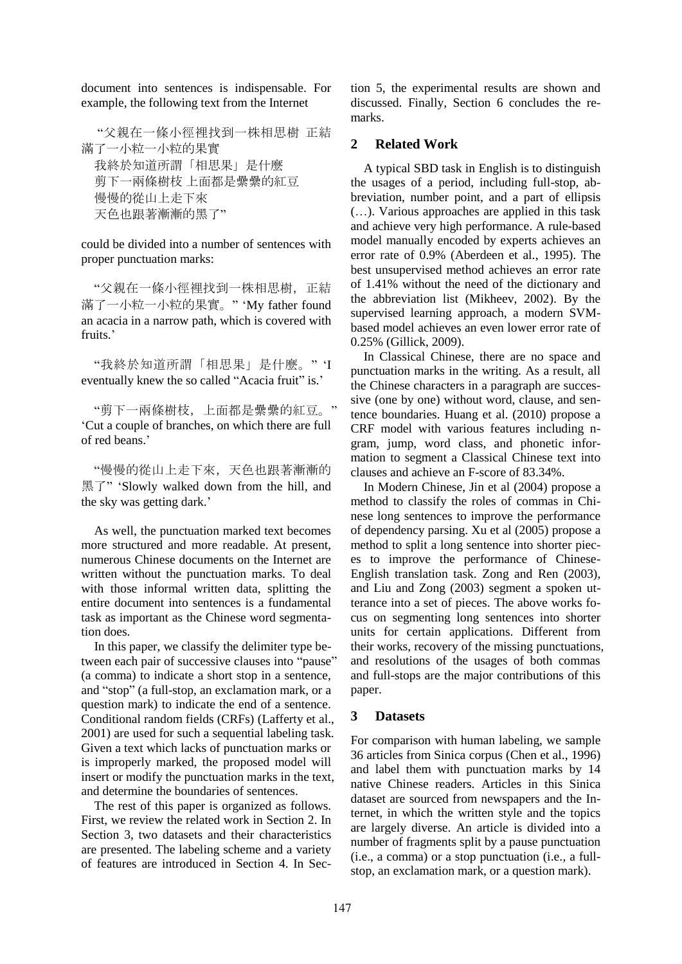document into sentences is indispensable. For example, the following text from the Internet

"父親在一條小徑裡找到一株相思樹 正結 滿了一小粒一小粒的果實 我終於知道所謂「相思果」是什麼 剪下一兩條樹枝 上面都是纍纍的紅豆 慢慢的從山上走下來 天色也跟著漸漸的黑了"

could be divided into a number of sentences with proper punctuation marks:

"父親在一條小徑裡找到一株相思樹,正結 滿了一小粒一小粒的果實。" "My father found an acacia in a narrow path, which is covered with fruits.'

"我終於知道所謂「相思果」是什麼。" "I eventually knew the so called "Acacia fruit" is."

"剪下一兩條樹枝,上面都是纍纍的紅豆。" "Cut a couple of branches, on which there are full of red beans."

"慢慢的從山上走下來,天色也跟著漸漸的 黑了" "Slowly walked down from the hill, and the sky was getting dark."

As well, the punctuation marked text becomes more structured and more readable. At present, numerous Chinese documents on the Internet are written without the punctuation marks. To deal with those informal written data, splitting the entire document into sentences is a fundamental task as important as the Chinese word segmentation does.

In this paper, we classify the delimiter type between each pair of successive clauses into "pause" (a comma) to indicate a short stop in a sentence, and "stop" (a full-stop, an exclamation mark, or a question mark) to indicate the end of a sentence. Conditional random fields (CRFs) (Lafferty et al., 2001) are used for such a sequential labeling task. Given a text which lacks of punctuation marks or is improperly marked, the proposed model will insert or modify the punctuation marks in the text, and determine the boundaries of sentences.

The rest of this paper is organized as follows. First, we review the related work in Section 2. In Section 3, two datasets and their characteristics are presented. The labeling scheme and a variety of features are introduced in Section 4. In Section 5, the experimental results are shown and discussed. Finally, Section 6 concludes the remarks.

### **2 Related Work**

A typical SBD task in English is to distinguish the usages of a period, including full-stop, abbreviation, number point, and a part of ellipsis (…). Various approaches are applied in this task and achieve very high performance. A rule-based model manually encoded by experts achieves an error rate of 0.9% (Aberdeen et al., 1995). The best unsupervised method achieves an error rate of 1.41% without the need of the dictionary and the abbreviation list (Mikheev, 2002). By the supervised learning approach, a modern SVMbased model achieves an even lower error rate of 0.25% (Gillick, 2009).

In Classical Chinese, there are no space and punctuation marks in the writing. As a result, all the Chinese characters in a paragraph are successive (one by one) without word, clause, and sentence boundaries. Huang et al. (2010) propose a CRF model with various features including ngram, jump, word class, and phonetic information to segment a Classical Chinese text into clauses and achieve an F-score of 83.34%.

In Modern Chinese, Jin et al (2004) propose a method to classify the roles of commas in Chinese long sentences to improve the performance of dependency parsing. Xu et al (2005) propose a method to split a long sentence into shorter pieces to improve the performance of Chinese-English translation task. Zong and Ren (2003), and Liu and Zong (2003) segment a spoken utterance into a set of pieces. The above works focus on segmenting long sentences into shorter units for certain applications. Different from their works, recovery of the missing punctuations, and resolutions of the usages of both commas and full-stops are the major contributions of this paper.

### **3 Datasets**

For comparison with human labeling, we sample 36 articles from Sinica corpus (Chen et al., 1996) and label them with punctuation marks by 14 native Chinese readers. Articles in this Sinica dataset are sourced from newspapers and the Internet, in which the written style and the topics are largely diverse. An article is divided into a number of fragments split by a pause punctuation (i.e., a comma) or a stop punctuation (i.e., a fullstop, an exclamation mark, or a question mark).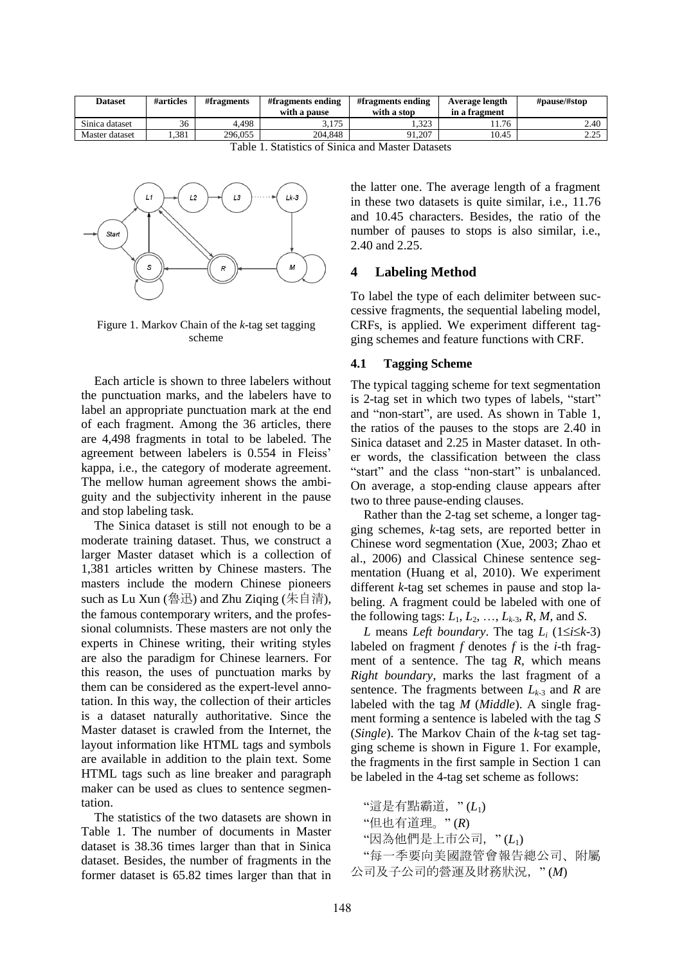| <b>Dataset</b> | #articles | #fragments | #fragments ending<br>with a pause | #fragments ending<br>with a stop | Average length<br>in a fragment | #pause/#stop   |
|----------------|-----------|------------|-----------------------------------|----------------------------------|---------------------------------|----------------|
| Sinica dataset | 36        | 4.498      | 3 175<br>J.IIJ                    | 323<br>رے ر…                     | 11.76                           | 2.40           |
| Master dataset | .381      | 296,055    | 204.848                           | 91.207                           | 10.45                           | າ າ ເ<br>ر ے ۔ |

Table 1. Statistics of Sinica and Master Datasets



Figure 1. Markov Chain of the *k*-tag set tagging scheme

Each article is shown to three labelers without the punctuation marks, and the labelers have to label an appropriate punctuation mark at the end of each fragment. Among the 36 articles, there are 4,498 fragments in total to be labeled. The agreement between labelers is 0.554 in Fleiss" kappa, i.e., the category of moderate agreement. The mellow human agreement shows the ambiguity and the subjectivity inherent in the pause and stop labeling task.

The Sinica dataset is still not enough to be a moderate training dataset. Thus, we construct a larger Master dataset which is a collection of 1,381 articles written by Chinese masters. The masters include the modern Chinese pioneers such as Lu Xun (魯迅) and Zhu Ziqing (朱自清), the famous contemporary writers, and the professional columnists. These masters are not only the experts in Chinese writing, their writing styles are also the paradigm for Chinese learners. For this reason, the uses of punctuation marks by them can be considered as the expert-level annotation. In this way, the collection of their articles is a dataset naturally authoritative. Since the Master dataset is crawled from the Internet, the layout information like HTML tags and symbols are available in addition to the plain text. Some HTML tags such as line breaker and paragraph maker can be used as clues to sentence segmentation.

The statistics of the two datasets are shown in Table 1. The number of documents in Master dataset is 38.36 times larger than that in Sinica dataset. Besides, the number of fragments in the former dataset is 65.82 times larger than that in the latter one. The average length of a fragment in these two datasets is quite similar, i.e., 11.76 and 10.45 characters. Besides, the ratio of the number of pauses to stops is also similar, i.e., 2.40 and 2.25.

### **4 Labeling Method**

To label the type of each delimiter between successive fragments, the sequential labeling model, CRFs, is applied. We experiment different tagging schemes and feature functions with CRF.

### **4.1 Tagging Scheme**

The typical tagging scheme for text segmentation is 2-tag set in which two types of labels, "start" and "non-start", are used. As shown in Table 1, the ratios of the pauses to the stops are 2.40 in Sinica dataset and 2.25 in Master dataset. In other words, the classification between the class "start" and the class "non-start" is unbalanced. On average, a stop-ending clause appears after two to three pause-ending clauses.

Rather than the 2-tag set scheme, a longer tagging schemes, *k*-tag sets, are reported better in Chinese word segmentation (Xue, 2003; Zhao et al., 2006) and Classical Chinese sentence segmentation (Huang et al, 2010). We experiment different *k*-tag set schemes in pause and stop labeling. A fragment could be labeled with one of the following tags:  $L_1, L_2, \ldots, L_{k-3}, R, M$ , and *S*.

*L* means *Left boundary*. The tag  $L_i$  (1*ii* $\leq$ *k*-3) labeled on fragment *f* denotes *f* is the *i*-th fragment of a sentence. The tag *R*, which means *Right boundary*, marks the last fragment of a sentence. The fragments between  $L_{k-3}$  and  $R$  are labeled with the tag *M* (*Middle*). A single fragment forming a sentence is labeled with the tag *S* (*Single*). The Markov Chain of the *k*-tag set tagging scheme is shown in Figure 1. For example, the fragments in the first sample in Section 1 can be labeled in the 4-tag set scheme as follows:

```
"這是有點霸道," (L1)
```

```
"但也有道理。" (R)
```

```
"因為他們是上市公司," (L1)
```
"每一季要向美國證管會報告總公司、附屬 公司及子公司的營運及財務狀況," (*M*)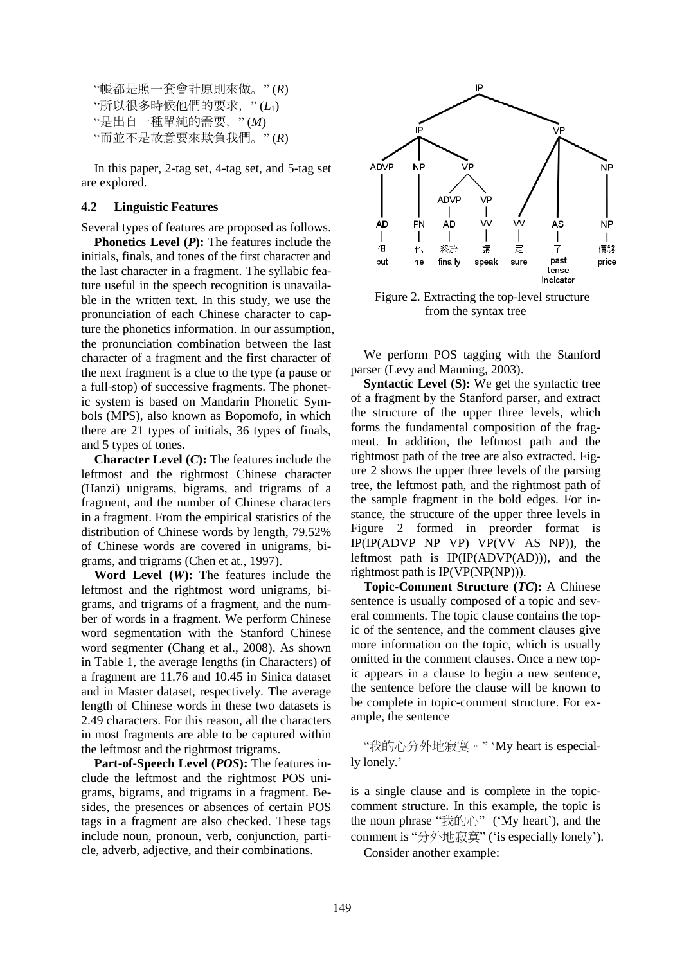```
"帳都是照一套會計原則來做。" (R)
"所以很多時候他們的要求," (L1)
"是出自一種單純的需要," (M)
"而並不是故意要來欺負我們。" (R)
```
In this paper, 2-tag set, 4-tag set, and 5-tag set are explored.

### **4.2 Linguistic Features**

Several types of features are proposed as follows.

**Phonetics Level (***P***):** The features include the initials, finals, and tones of the first character and the last character in a fragment. The syllabic feature useful in the speech recognition is unavailable in the written text. In this study, we use the pronunciation of each Chinese character to capture the phonetics information. In our assumption, the pronunciation combination between the last character of a fragment and the first character of the next fragment is a clue to the type (a pause or a full-stop) of successive fragments. The phonetic system is based on Mandarin Phonetic Symbols (MPS), also known as Bopomofo, in which there are 21 types of initials, 36 types of finals, and 5 types of tones.

**Character Level (***C***):** The features include the leftmost and the rightmost Chinese character (Hanzi) unigrams, bigrams, and trigrams of a fragment, and the number of Chinese characters in a fragment. From the empirical statistics of the distribution of Chinese words by length, 79.52% of Chinese words are covered in unigrams, bigrams, and trigrams (Chen et at., 1997).

**Word Level (***W***):** The features include the leftmost and the rightmost word unigrams, bigrams, and trigrams of a fragment, and the number of words in a fragment. We perform Chinese word segmentation with the Stanford Chinese word segmenter (Chang et al., 2008). As shown in Table 1, the average lengths (in Characters) of a fragment are 11.76 and 10.45 in Sinica dataset and in Master dataset, respectively. The average length of Chinese words in these two datasets is 2.49 characters. For this reason, all the characters in most fragments are able to be captured within the leftmost and the rightmost trigrams.

**Part-of-Speech Level (***POS***):** The features include the leftmost and the rightmost POS unigrams, bigrams, and trigrams in a fragment. Besides, the presences or absences of certain POS tags in a fragment are also checked. These tags include noun, pronoun, verb, conjunction, particle, adverb, adjective, and their combinations.



Figure 2. Extracting the top-level structure from the syntax tree

We perform POS tagging with the Stanford parser (Levy and Manning, 2003).

**Syntactic Level (S):** We get the syntactic tree of a fragment by the Stanford parser, and extract the structure of the upper three levels, which forms the fundamental composition of the fragment. In addition, the leftmost path and the rightmost path of the tree are also extracted. Figure 2 shows the upper three levels of the parsing tree, the leftmost path, and the rightmost path of the sample fragment in the bold edges. For instance, the structure of the upper three levels in Figure 2 formed in preorder format is IP(IP(ADVP NP VP) VP(VV AS NP)), the leftmost path is IP(IP(ADVP(AD))), and the rightmost path is IP(VP(NP(NP))).

**Topic-Comment Structure (***TC***):** A Chinese sentence is usually composed of a topic and several comments. The topic clause contains the topic of the sentence, and the comment clauses give more information on the topic, which is usually omitted in the comment clauses. Once a new topic appears in a clause to begin a new sentence, the sentence before the clause will be known to be complete in topic-comment structure. For example, the sentence

"我的心分外地寂寞。" "My heart is especially lonely.'

is a single clause and is complete in the topiccomment structure. In this example, the topic is the noun phrase " $\frac{1}{2}$  the  $\frac{1}{2}$ " ('My heart'), and the comment is "分外地寂寞" ('is especially lonely'). Consider another example: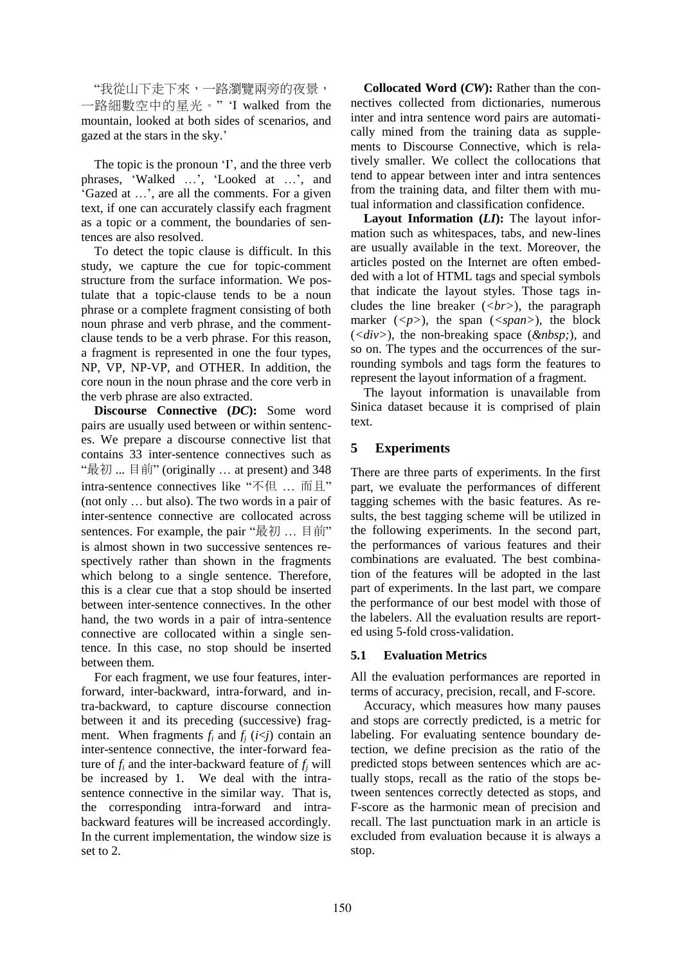"我從山下走下來,一路瀏覽兩旁的夜景, 一路細數空中的星光。" "I walked from the mountain, looked at both sides of scenarios, and gazed at the stars in the sky."

The topic is the pronoun 'I', and the three verb phrases, 'Walked ...', 'Looked at ...', and "Gazed at …", are all the comments. For a given text, if one can accurately classify each fragment as a topic or a comment, the boundaries of sentences are also resolved.

To detect the topic clause is difficult. In this study, we capture the cue for topic-comment structure from the surface information. We postulate that a topic-clause tends to be a noun phrase or a complete fragment consisting of both noun phrase and verb phrase, and the commentclause tends to be a verb phrase. For this reason, a fragment is represented in one the four types, NP, VP, NP-VP, and OTHER. In addition, the core noun in the noun phrase and the core verb in the verb phrase are also extracted.

**Discourse Connective (***DC***):** Some word pairs are usually used between or within sentences. We prepare a discourse connective list that contains 33 inter-sentence connectives such as "最初 ... 目前" (originally … at present) and 348 intra-sentence connectives like "不但 … 而且" (not only … but also). The two words in a pair of inter-sentence connective are collocated across sentences. For example, the pair "最初 ... 目前" is almost shown in two successive sentences respectively rather than shown in the fragments which belong to a single sentence. Therefore, this is a clear cue that a stop should be inserted between inter-sentence connectives. In the other hand, the two words in a pair of intra-sentence connective are collocated within a single sentence. In this case, no stop should be inserted between them.

For each fragment, we use four features, interforward, inter-backward, intra-forward, and intra-backward, to capture discourse connection between it and its preceding (successive) fragment. When fragments  $f_i$  and  $f_j$  ( $i \leq j$ ) contain an inter-sentence connective, the inter-forward feature of  $f_i$  and the inter-backward feature of  $f_i$  will be increased by 1. We deal with the intrasentence connective in the similar way. That is, the corresponding intra-forward and intrabackward features will be increased accordingly. In the current implementation, the window size is set to 2.

**Collocated Word (***CW***):** Rather than the connectives collected from dictionaries, numerous inter and intra sentence word pairs are automatically mined from the training data as supplements to Discourse Connective, which is relatively smaller. We collect the collocations that tend to appear between inter and intra sentences from the training data, and filter them with mutual information and classification confidence.

**Layout Information (***LI***):** The layout information such as whitespaces, tabs, and new-lines are usually available in the text. Moreover, the articles posted on the Internet are often embedded with a lot of HTML tags and special symbols that indicate the layout styles. Those tags includes the line breaker (*<br>*), the paragraph marker  $(*p*)$ , the span  $(*span*)$ , the block  $(*div*)$ , the non-breaking space  $(*dnbsp*)$ , and so on. The types and the occurrences of the surrounding symbols and tags form the features to represent the layout information of a fragment.

The layout information is unavailable from Sinica dataset because it is comprised of plain text.

# **5 Experiments**

There are three parts of experiments. In the first part, we evaluate the performances of different tagging schemes with the basic features. As results, the best tagging scheme will be utilized in the following experiments. In the second part, the performances of various features and their combinations are evaluated. The best combination of the features will be adopted in the last part of experiments. In the last part, we compare the performance of our best model with those of the labelers. All the evaluation results are reported using 5-fold cross-validation.

# **5.1 Evaluation Metrics**

All the evaluation performances are reported in terms of accuracy, precision, recall, and F-score.

Accuracy, which measures how many pauses and stops are correctly predicted, is a metric for labeling. For evaluating sentence boundary detection, we define precision as the ratio of the predicted stops between sentences which are actually stops, recall as the ratio of the stops between sentences correctly detected as stops, and F-score as the harmonic mean of precision and recall. The last punctuation mark in an article is excluded from evaluation because it is always a stop.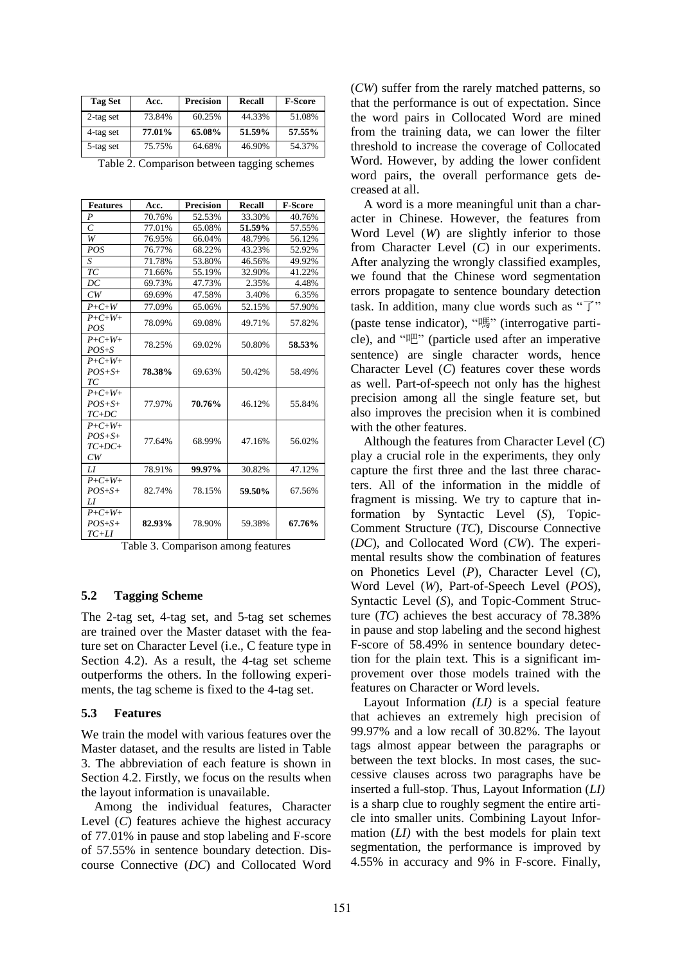| <b>Tag Set</b> | Acc.   | <b>Precision</b> | Recall | <b>F-Score</b> |
|----------------|--------|------------------|--------|----------------|
| $2$ -tag set   | 73.84% | 60.25%           | 44.33% | 51.08%         |
| 4-tag set      | 77.01% | 65.08%           | 51.59% | 57.55%         |
| 5-tag set      | 75.75% | 64.68%           | 46.90% | 54.37%         |

| Table 2. Comparison between tagging schemes |  |  |
|---------------------------------------------|--|--|
|                                             |  |  |

| <b>Features</b>     | Acc.   | <b>Precision</b> | Recall | F-Score |
|---------------------|--------|------------------|--------|---------|
| $\boldsymbol{P}$    | 70.76% | 52.53%           | 33.30% | 40.76%  |
| $\overline{C}$      | 77.01% | 65.08%           | 51.59% | 57.55%  |
| W                   | 76.95% | 66.04%           | 48.79% | 56.12%  |
| POS                 | 76.77% | 68.22%           | 43.23% | 52.92%  |
| S                   | 71.78% | 53.80%           | 46.56% | 49.92%  |
| $\mathcal{TC}$      | 71.66% | 55.19%           | 32.90% | 41.22%  |
| DC                  | 69.73% | 47.73%           | 2.35%  | 4.48%   |
| CW                  | 69.69% | 47.58%           | 3.40%  | 6.35%   |
| $P+C+W$             | 77.09% | 65.06%           | 52.15% | 57.90%  |
| $P + C + W +$       | 78.09% |                  | 49.71% | 57.82%  |
| POS                 |        | 69.08%           |        |         |
| $P + C + W +$       | 78.25% | 69.02%           | 50.80% | 58.53%  |
| $POS+S$             |        |                  |        |         |
| $P + C + W +$       |        |                  |        |         |
| $POS + S+$          | 78.38% | 69.63%           | 50.42% | 58.49%  |
| TС                  |        |                  |        |         |
| $P + C + W +$       |        |                  |        |         |
| $POS+S+$            | 77.97% | 70.76%           | 46.12% | 55.84%  |
| $TC+DC$             |        |                  |        |         |
| $P + C + W +$       |        |                  |        |         |
| $POS+S+$            | 77.64% | 68.99%           | 47.16% | 56.02%  |
| $TC+DC+$            |        |                  |        |         |
| CW                  |        |                  |        |         |
| IJ                  | 78.91% | 99.97%           | 30.82% | 47.12%  |
| $P + C + W +$       |        |                  |        |         |
| $POS+S+$            | 82.74% | 78.15%           | 59.50% | 67.56%  |
| LI<br>$P + C + W +$ |        |                  |        |         |
| $POS+S+$            | 82.93% | 78.90%           | 59.38% | 67.76%  |
| $TC+LI$             |        |                  |        |         |
|                     |        |                  |        |         |

Table 3. Comparison among features

### **5.2 Tagging Scheme**

The 2-tag set, 4-tag set, and 5-tag set schemes are trained over the Master dataset with the feature set on Character Level (i.e., C feature type in Section 4.2). As a result, the 4-tag set scheme outperforms the others. In the following experiments, the tag scheme is fixed to the 4-tag set.

### **5.3 Features**

We train the model with various features over the Master dataset, and the results are listed in Table 3. The abbreviation of each feature is shown in Section 4.2. Firstly, we focus on the results when the layout information is unavailable.

Among the individual features, Character Level (*C*) features achieve the highest accuracy of 77.01% in pause and stop labeling and F-score of 57.55% in sentence boundary detection. Discourse Connective (*DC*) and Collocated Word (*CW*) suffer from the rarely matched patterns, so that the performance is out of expectation. Since the word pairs in Collocated Word are mined from the training data, we can lower the filter threshold to increase the coverage of Collocated Word. However, by adding the lower confident word pairs, the overall performance gets decreased at all.

A word is a more meaningful unit than a character in Chinese. However, the features from Word Level (*W*) are slightly inferior to those from Character Level (*C*) in our experiments. After analyzing the wrongly classified examples, we found that the Chinese word segmentation errors propagate to sentence boundary detection task. In addition, many clue words such as " $\overrightarrow{J}$ " (paste tense indicator), "嗎" (interrogative particle), and "吧" (particle used after an imperative sentence) are single character words, hence Character Level (*C*) features cover these words as well. Part-of-speech not only has the highest precision among all the single feature set, but also improves the precision when it is combined with the other features.

Although the features from Character Level (*C*) play a crucial role in the experiments, they only capture the first three and the last three characters. All of the information in the middle of fragment is missing. We try to capture that information by Syntactic Level (*S*), Topic-Comment Structure (*TC*), Discourse Connective (*DC*), and Collocated Word (*CW*). The experimental results show the combination of features on Phonetics Level (*P*), Character Level (*C*), Word Level (*W*), Part-of-Speech Level (*POS*), Syntactic Level (*S*), and Topic-Comment Structure (*TC*) achieves the best accuracy of 78.38% in pause and stop labeling and the second highest F-score of 58.49% in sentence boundary detection for the plain text. This is a significant improvement over those models trained with the features on Character or Word levels.

Layout Information *(LI)* is a special feature that achieves an extremely high precision of 99.97% and a low recall of 30.82%. The layout tags almost appear between the paragraphs or between the text blocks. In most cases, the successive clauses across two paragraphs have be inserted a full-stop. Thus, Layout Information (*LI)* is a sharp clue to roughly segment the entire article into smaller units. Combining Layout Information (*LI)* with the best models for plain text segmentation, the performance is improved by 4.55% in accuracy and 9% in F-score. Finally,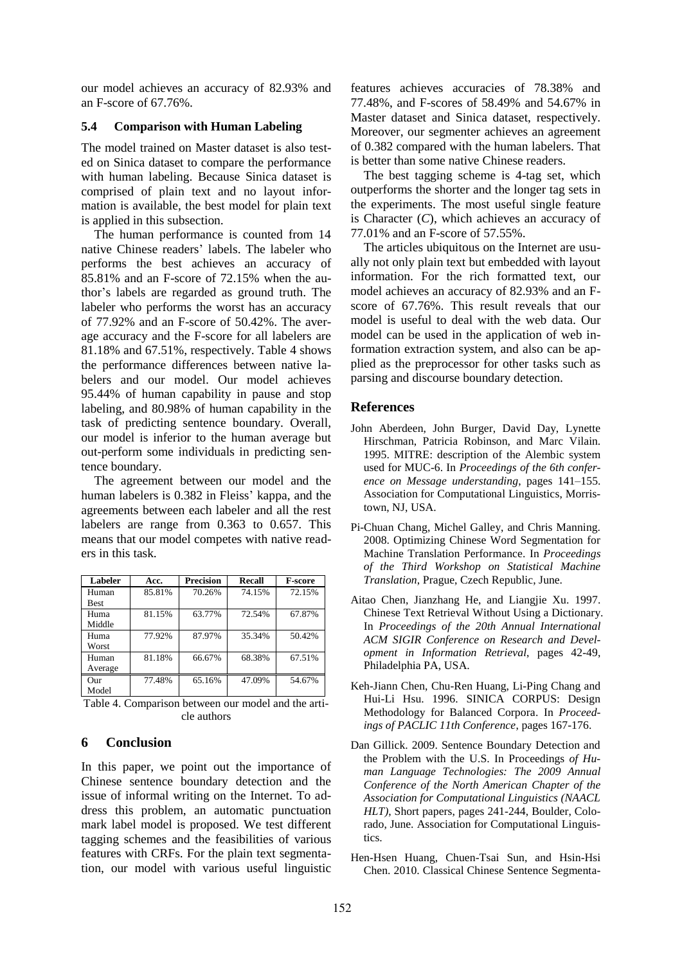our model achieves an accuracy of 82.93% and an F-score of 67.76%.

## **5.4 Comparison with Human Labeling**

The model trained on Master dataset is also tested on Sinica dataset to compare the performance with human labeling. Because Sinica dataset is comprised of plain text and no layout information is available, the best model for plain text is applied in this subsection.

The human performance is counted from 14 native Chinese readers" labels. The labeler who performs the best achieves an accuracy of 85.81% and an F-score of 72.15% when the author"s labels are regarded as ground truth. The labeler who performs the worst has an accuracy of 77.92% and an F-score of 50.42%. The average accuracy and the F-score for all labelers are 81.18% and 67.51%, respectively. Table 4 shows the performance differences between native labelers and our model. Our model achieves 95.44% of human capability in pause and stop labeling, and 80.98% of human capability in the task of predicting sentence boundary. Overall, our model is inferior to the human average but out-perform some individuals in predicting sentence boundary.

The agreement between our model and the human labelers is 0.382 in Fleiss' kappa, and the agreements between each labeler and all the rest labelers are range from 0.363 to 0.657. This means that our model competes with native readers in this task.

| Labeler     | Acc.   | <b>Precision</b> | <b>Recall</b> | <b>F-score</b> |
|-------------|--------|------------------|---------------|----------------|
| Human       | 85.81% | 70.26%           | 74.15%        | 72.15%         |
| <b>Best</b> |        |                  |               |                |
| Huma        | 81.15% | 63.77%           | 72.54%        | 67.87%         |
| Middle      |        |                  |               |                |
| Huma        | 77.92% | 87.97%           | 35.34%        | 50.42%         |
| Worst       |        |                  |               |                |
| Human       | 81.18% | 66.67%           | 68.38%        | 67.51%         |
| Average     |        |                  |               |                |
| Our         | 77.48% | 65.16%           | 47.09%        | 54.67%         |
| Model       |        |                  |               |                |

Table 4. Comparison between our model and the article authors

# **6 Conclusion**

In this paper, we point out the importance of Chinese sentence boundary detection and the issue of informal writing on the Internet. To address this problem, an automatic punctuation mark label model is proposed. We test different tagging schemes and the feasibilities of various features with CRFs. For the plain text segmentation, our model with various useful linguistic features achieves accuracies of 78.38% and 77.48%, and F-scores of 58.49% and 54.67% in Master dataset and Sinica dataset, respectively. Moreover, our segmenter achieves an agreement of 0.382 compared with the human labelers. That is better than some native Chinese readers.

The best tagging scheme is 4-tag set, which outperforms the shorter and the longer tag sets in the experiments. The most useful single feature is Character (*C*), which achieves an accuracy of 77.01% and an F-score of 57.55%.

The articles ubiquitous on the Internet are usually not only plain text but embedded with layout information. For the rich formatted text, our model achieves an accuracy of 82.93% and an Fscore of 67.76%. This result reveals that our model is useful to deal with the web data. Our model can be used in the application of web information extraction system, and also can be applied as the preprocessor for other tasks such as parsing and discourse boundary detection.

# **References**

- John Aberdeen, John Burger, David Day, Lynette Hirschman, Patricia Robinson, and Marc Vilain. 1995. MITRE: description of the Alembic system used for MUC-6. In *Proceedings of the 6th conference on Message understanding*, pages 141–155. Association for Computational Linguistics, Morristown, NJ, USA.
- Pi-Chuan Chang, Michel Galley, and Chris Manning. 2008. Optimizing Chinese Word Segmentation for Machine Translation Performance. In *Proceedings of the Third Workshop on Statistical Machine Translation*, Prague, Czech Republic, June.
- Aitao Chen, Jianzhang He, and Liangjie Xu. 1997. Chinese Text Retrieval Without Using a Dictionary. In *Proceedings of the 20th Annual International ACM SIGIR Conference on Research and Development in Information Retrieval*, pages 42-49, Philadelphia PA, USA.
- Keh-Jiann Chen, Chu-Ren Huang, Li-Ping Chang and Hui-Li Hsu. 1996. SINICA CORPUS: Design Methodology for Balanced Corpora. In *Proceedings of PACLIC 11th Conference*, pages 167-176.
- Dan Gillick. 2009. Sentence Boundary Detection and the Problem with the U.S. In Proceedings *of Human Language Technologies: The 2009 Annual Conference of the North American Chapter of the Association for Computational Linguistics (NAACL HLT)*, Short papers, pages 241-244, Boulder, Colorado, June. Association for Computational Linguistics.
- Hen-Hsen Huang, Chuen-Tsai Sun, and Hsin-Hsi Chen. 2010. Classical Chinese Sentence Segmenta-